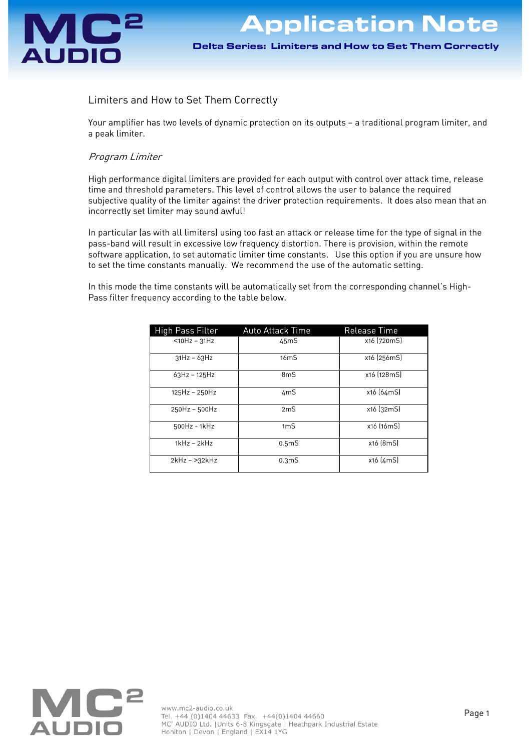

# Limiters and How to Set Them Correctly

Your amplifier has two levels of dynamic protection on its outputs — a traditional program limiter, and a peak limiter.

# Program Limiter

High performance digital limiters are provided for each output with control over attack time, release time and threshold parameters. This level of control allows the user to balance the required subjective quality of the limiter against the driver protection requirements. It does also mean that an incorrectly set limiter may sound awful!

In particular (as with all limiters) using too fast an attack or release time for the type of signal in the pass-band will result in excessive low frequency distortion. There is provision, within the remote software application, to set automatic limiter time constants. Use this option if you are unsure how to set the time constants manually. We recommend the use of the automatic setting.

In this mode the time constants will be automatically set from the corresponding channel's High-Pass filter frequency according to the table below.

| High Pass Filter | <b>Auto Attack Time</b> | Release Time |
|------------------|-------------------------|--------------|
| $<$ 10Hz - 31Hz  | 45mS                    | x16 (720mS)  |
| $31Hz - 63Hz$    | 16 <sub>m</sub> S       | x16 (256mS)  |
| $63Hz - 125Hz$   | 8 <sub>m</sub> S        | x16 (128mS)  |
| 125Hz - 250Hz    | 4mS                     | x16 (64mS)   |
| 250Hz - 500Hz    | 2mS                     | x16 (32mS)   |
| 500Hz - 1kHz     | 1 <sub>m</sub>          | x16 (16mS)   |
| $1kHz - 2kHz$    | 0.5 <sub>m</sub> S      | x16 (8mS)    |
| $2kHz - 32kHz$   | 0.3 <sub>m</sub> S      | x16 (4mS)    |

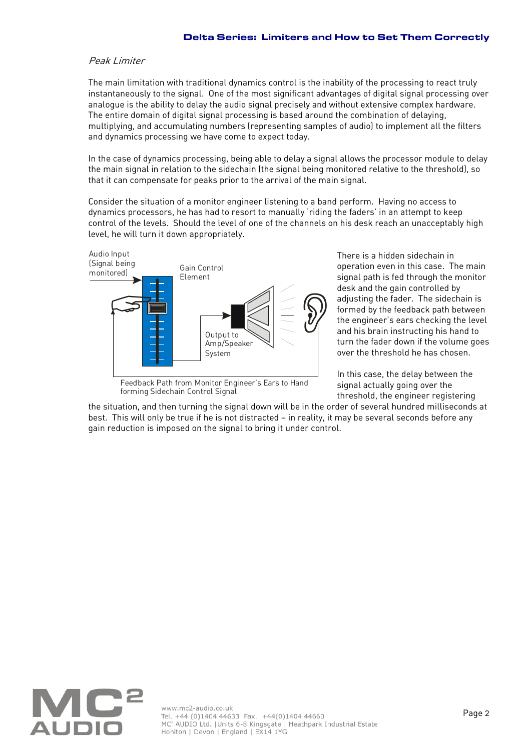#### Peak Limiter

The main limitation with traditional dynamics control is the inability of the processing to react truly instantaneously to the signal. One of the most significant advantages of digital signal processing over analogue is the ability to delay the audio signal precisely and without extensive complex hardware. The entire domain of digital signal processing is based around the combination of delaying, multiplying, and accumulating numbers (representing samples of audio) to implement all the filters and dynamics processing we have come to expect today.

In the case of dynamics processing, being able to delay a signal allows the processor module to delay the main signal in relation to the sidechain (the signal being monitored relative to the threshold), so that it can compensate for peaks prior to the arrival of the main signal.

Consider the situation of a monitor engineer listening to a band perform. Having no access to dynamics processors, he has had to resort to manually 'riding the faders' in an attempt to keep control of the levels. Should the level of one of the channels on his desk reach an unacceptably high level, he will turn it down appropriately.



Feedback Path from Monitor Engineer's Ears to Hand forming Sidechain Control Signal

There is a hidden sidechain in operation even in this case. The main signal path is fed through the monitor desk and the gain controlled by adjusting the fader. The sidechain is formed by the feedback path between the engineer's ears checking the level and his brain instructing his hand to turn the fader down if the volume goes over the threshold he has chosen.

In this case, the delay between the signal actually going over the threshold, the engineer registering

the situation, and then turning the signal down will be in the order of several hundred milliseconds at best. This will only be true if he is not distracted — in reality, it may be several seconds before any gain reduction is imposed on the signal to bring it under control.

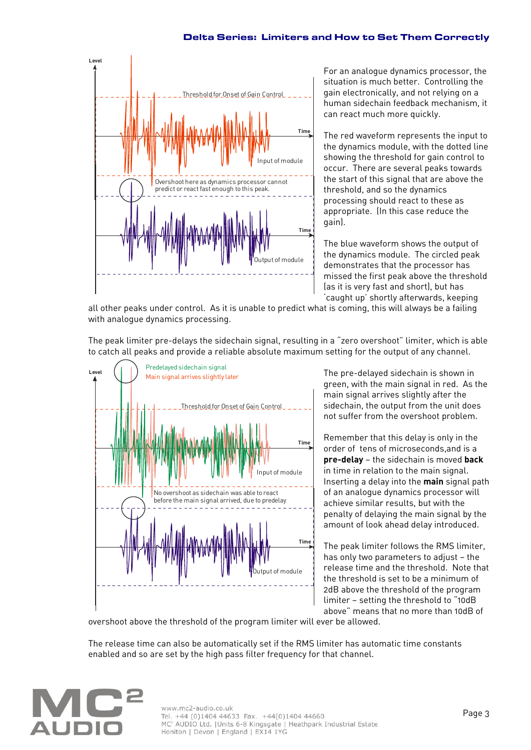#### Delta Series: Limiters and How to Set Them Correctly



For an analogue dynamics processor, the situation is much better. Controlling the gain electronically, and not relying on a human sidechain feedback mechanism, it can react much more quickly.

The red waveform represents the input to the dynamics module, with the dotted line showing the threshold for gain control to occur. There are several peaks towards the start of this signal that are above the threshold, and so the dynamics processing should react to these as appropriate. (In this case reduce the gain).

The blue waveform shows the output of the dynamics module. The circled peak demonstrates that the processor has missed the first peak above the threshold (as it is very fast and short), but has 'caught up' shortly afterwards, keeping

all other peaks under control. As it is unable to predict what is coming, this will always be a failing with analogue dynamics processing.

The peak limiter pre-delays the sidechain signal, resulting in a "zero overshoot" limiter, which is able to catch all peaks and provide a reliable absolute maximum setting for the output of any channel.



The pre-delayed sidechain is shown in green, with the main signal in red. As the main signal arrives slightly after the sidechain, the output from the unit does not suffer from the overshoot problem.

Remember that this delay is only in the order of tens of microseconds,and is a **pre-delay** — the sidechain is moved **back** in time in relation to the main signal. Inserting a delay into the **main** signal path of an analogue dynamics processor will achieve similar results, but with the penalty of delaying the main signal by the amount of look ahead delay introduced.

The peak limiter follows the RMS limiter, has only two parameters to adjust — the release time and the threshold. Note that the threshold is set to be a minimum of 2dB above the threshold of the program limiter — setting the threshold to "10dB above" means that no more than 10dB of

overshoot above the threshold of the program limiter will ever be allowed.

The release time can also be automatically set if the RMS limiter has automatic time constants enabled and so are set by the high pass filter frequency for that channel.

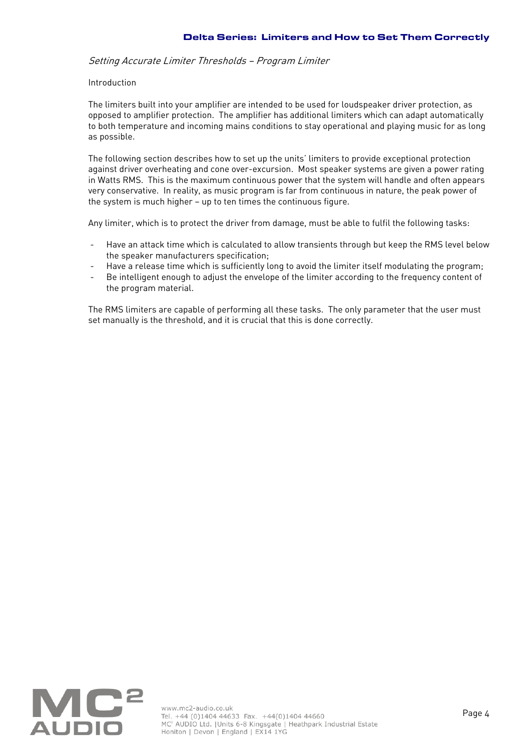### Setting Accurate Limiter Thresholds — Program Limiter

#### Introduction

The limiters built into your amplifier are intended to be used for loudspeaker driver protection, as opposed to amplifier protection. The amplifier has additional limiters which can adapt automatically to both temperature and incoming mains conditions to stay operational and playing music for as long as possible.

The following section describes how to set up the units' limiters to provide exceptional protection against driver overheating and cone over-excursion. Most speaker systems are given a power rating in Watts RMS. This is the maximum continuous power that the system will handle and often appears very conservative. In reality, as music program is far from continuous in nature, the peak power of the system is much higher — up to ten times the continuous figure.

Any limiter, which is to protect the driver from damage, must be able to fulfil the following tasks:

- Have an attack time which is calculated to allow transients through but keep the RMS level below the speaker manufacturers specification;
- Have a release time which is sufficiently long to avoid the limiter itself modulating the program;
- Be intelligent enough to adjust the envelope of the limiter according to the frequency content of the program material.

The RMS limiters are capable of performing all these tasks. The only parameter that the user must set manually is the threshold, and it is crucial that this is done correctly.

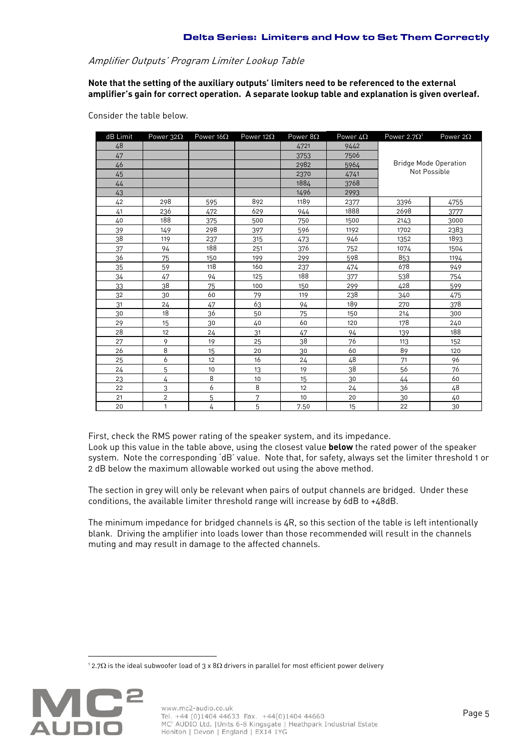# Amplifier Outputs' Program Limiter Lookup Table

**Note that the setting of the auxiliary outputs' limiters need to be referenced to the external amplifier's gain for correct operation. A separate lookup table and explanation is given overleaf.**

Consider the table below.

| dB Limit | Power $32\Omega$ | Power $16\Omega$ | Power 12 $\Omega$ | Power $8\Omega$ | Power $4\Omega$ | Power 2.7 $\Omega^1$         | Power $2\Omega$ |
|----------|------------------|------------------|-------------------|-----------------|-----------------|------------------------------|-----------------|
| 48       |                  |                  |                   | 4721            | 9442            |                              |                 |
| 47       |                  |                  |                   | 3753            | 7506            |                              |                 |
| 46       |                  |                  |                   | 2982            | 5964            | <b>Bridge Mode Operation</b> |                 |
| 45       |                  |                  |                   | 2370            | 4741            | Not Possible                 |                 |
| 44       |                  |                  |                   | 1884            | 3768            |                              |                 |
| 43       |                  |                  |                   | 1496            | 2993            |                              |                 |
| 42       | 298              | 595              | 892               | 1189            | 2377            | 3396                         | 4755            |
| 41       | 236              | 472              | 629               | 944             | 1888            | 2698                         | 3777            |
| 40       | 188              | 375              | 500               | 750             | 1500            | 2143                         | 3000            |
| 39       | 149              | 298              | 397               | 596             | 1192            | 1702                         | 2383            |
| 38       | 119              | 237              | 315               | 473             | 946             | 1352                         | 1893            |
| 37       | 94               | 188              | 251               | 376             | 752             | 1074                         | 1504            |
| 36       | 75               | 150              | 199               | 299             | 598             | 853                          | 1194            |
| 35       | 59               | 118              | 160               | 237             | 474             | 678                          | 949             |
| 34       | 47               | 94               | 125               | 188             | 377             | 538                          | 754             |
| 33       | 38               | 75               | 100               | 150             | 299             | 428                          | 599             |
| 32       | 30               | 60               | 79                | 119             | 238             | 340                          | 475             |
| 31       | 24               | 47               | 63                | 94              | 189             | 270                          | 378             |
| 30       | 18               | 36               | 50                | 75              | 150             | 214                          | 300             |
| 29       | 15               | 30               | 40                | 60              | 120             | 178                          | 240             |
| 28       | 12               | 24               | 31                | 47              | 94              | 139                          | 188             |
| 27       | 9                | 19               | 25                | 38              | 76              | 113                          | 152             |
| 26       | 8                | 15               | 20                | 30              | 60              | 89                           | 120             |
| 25       | 6                | 12               | 16                | 24              | 48              | 71                           | 96              |
| 24       | 5                | 10               | 13                | 19              | 38              | 56                           | 76              |
| 23       | 4                | 8                | 10                | 15              | 30              | 44                           | 60              |
| 22       | 3                | 6                | 8                 | 12              | 24              | 36                           | 48              |
| 21       | $\overline{2}$   | 5                | 7                 | 10              | 20              | 30                           | 40              |
| 20       | $\mathbf{1}$     | 4                | 5                 | 7.50            | 15              | 22                           | 30              |

First, check the RMS power rating of the speaker system, and its impedance.

Look up this value in the table above, using the closest value **below** the rated power of the speaker system. Note the corresponding 'dB' value. Note that, for safety, always set the limiter threshold 1 or 2 dB below the maximum allowable worked out using the above method.

The section in grey will only be relevant when pairs of output channels are bridged. Under these conditions, the available limiter threshold range will increase by 6dB to +48dB.

The minimum impedance for bridged channels is 4R, so this section of the table is left intentionally blank. Driving the amplifier into loads lower than those recommended will result in the channels muting and may result in damage to the affected channels.

 $^{\rm 1}$  2.7 $\Omega$  is the ideal subwoofer load of 3 x 8 $\Omega$  drivers in parallel for most efficient power delivery



<u>.</u>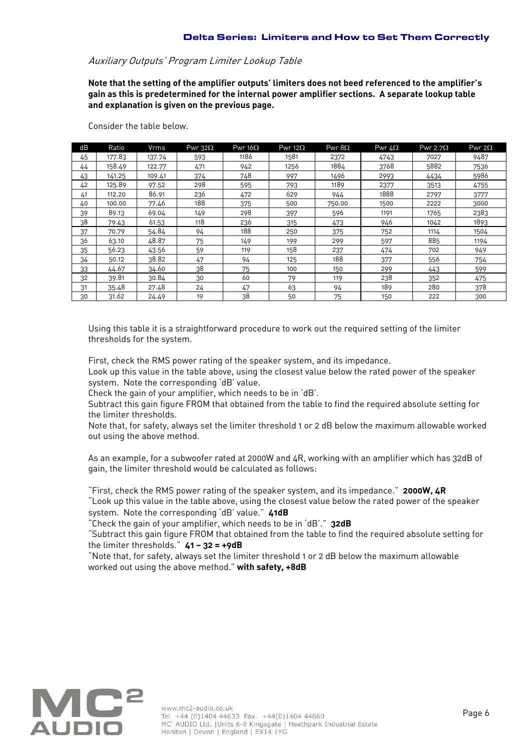## Auxiliary Outputs' Program Limiter Lookup Table

**Note that the setting of the amplifier outputs' limiters does not beed referenced to the amplifier's gain as this is predetermined for the internal power amplifier sections. A separate lookup table and explanation is given on the previous page.**

| dB | Ratio  | Vrms   | Pwr $32\Omega$ | Pwr $16\Omega$ | Pwr 12 $\Omega$ | Pwr $8\Omega$ | Pwr $4\Omega$ | Pwr 2.7 $\Omega$ | Pwr 2 $\Omega$ |
|----|--------|--------|----------------|----------------|-----------------|---------------|---------------|------------------|----------------|
| 45 | 177.83 | 137.74 | 593            | 1186           | 1581            | 2372          | 4743          | 7027             | 9487           |
| 44 | 158.49 | 122.77 | 471            | 942            | 1256            | 1884          | 3768          | 5882             | 7536           |
| 43 | 141.25 | 109.41 | 374            | 748            | 997             | 1496          | 2993          | 4434             | 5986           |
| 42 | 125.89 | 97.52  | 298            | 595            | 793             | 1189          | 2377          | 3513             | 4755           |
| 41 | 112.20 | 86.91  | 236            | 472            | 629             | 944           | 1888          | 2797             | 3777           |
| 40 | 100.00 | 77.46  | 188            | 375            | 500             | 750.00        | 1500          | 2222             | 3000           |
| 39 | 89.13  | 69.04  | 149            | 298            | 397             | 596           | 1191          | 1765             | 2383           |
| 38 | 79.43  | 61.53  | 118            | 236            | 315             | 473           | 946           | 1042             | 1893           |
| 37 | 70.79  | 54.84  | 94             | 188            | 250             | 375           | 752           | 1114             | 1504           |
| 36 | 63.10  | 48.87  | 75             | 149            | 199             | 299           | 597           | 885              | 1194           |
| 35 | 56.23  | 43.56  | 59             | 119            | 158             | 237           | 474           | 702              | 949            |
| 34 | 50.12  | 38.82  | 47             | 94             | 125             | 188           | 377           | 556              | 754            |
| 33 | 44.67  | 34.60  | 38             | 75             | 100             | 150           | 299           | 443              | 599            |
| 32 | 39.81  | 30.84  | 30             | 60             | 79              | 119           | 238           | 352              | 475            |
| 31 | 35.48  | 27.48  | 24             | 47             | 63              | 94            | 189           | 280              | 378            |
| 30 | 31.62  | 24.49  | 19             | 38             | 50              | 75            | 150           | 222              | 300            |

Consider the table below.

Using this table it is a straightforward procedure to work out the required setting of the limiter thresholds for the system.

First, check the RMS power rating of the speaker system, and its impedance.

Look up this value in the table above, using the closest value below the rated power of the speaker system. Note the corresponding 'dB' value.

Check the gain of your amplifier, which needs to be in 'dB'.

Subtract this gain figure FROM that obtained from the table to find the required absolute setting for the limiter thresholds.

Note that, for safety, always set the limiter threshold 1 or 2 dB below the maximum allowable worked out using the above method.

As an example, for a subwoofer rated at 2000W and 4R, working with an amplifier which has 32dB of gain, the limiter threshold would be calculated as follows:

"First, check the RMS power rating of the speaker system, and its impedance." **2000W, 4R** "Look up this value in the table above, using the closest value below the rated power of the speaker system. Note the corresponding 'dB' value." **41dB**

"Check the gain of your amplifier, which needs to be in 'dB'." **32dB**

"Subtract this gain figure FROM that obtained from the table to find the required absolute setting for the limiter thresholds." **41 — 32 = +9dB**

"Note that, for safety, always set the limiter threshold 1 or 2 dB below the maximum allowable worked out using the above method." **with safety, +8dB**

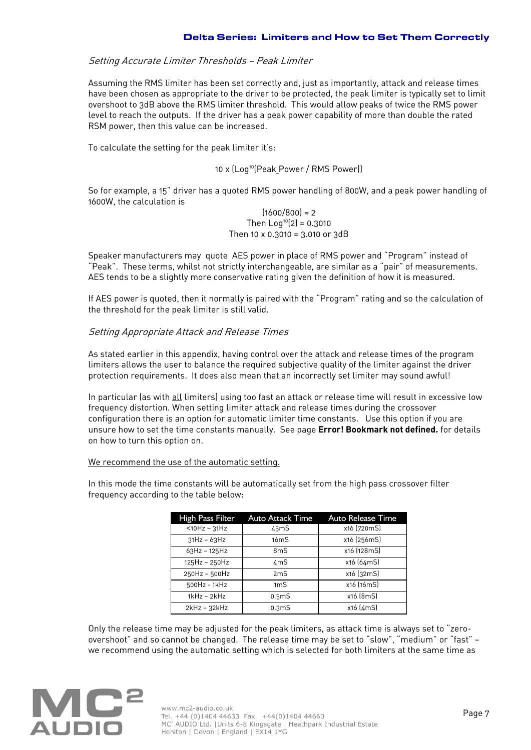## Setting Accurate Limiter Thresholds — Peak Limiter

Assuming the RMS limiter has been set correctly and, just as importantly, attack and release times have been chosen as appropriate to the driver to be protected, the peak limiter is typically set to limit overshoot to 3dB above the RMS limiter threshold. This would allow peaks of twice the RMS power level to reach the outputs. If the driver has a peak power capability of more than double the rated RSM power, then this value can be increased.

To calculate the setting for the peak limiter it's:

#### 10 x (Log<sup>10</sup>(Peak\_Power / RMS Power))

So for example, a 15" driver has a quoted RMS power handling of 800W, and a peak power handling of 1600W, the calculation is

> $(1600/800) = 2$ Then  $Log^{10}(2) = 0.3010$ Then 10 x 0.3010 = 3.010 or 3dB

Speaker manufacturers may quote AES power in place of RMS power and "Program" instead of "Peak". These terms, whilst not strictly interchangeable, are similar as a "pair" of measurements. AES tends to be a slightly more conservative rating given the definition of how it is measured.

If AES power is quoted, then it normally is paired with the "Program" rating and so the calculation of the threshold for the peak limiter is still valid.

#### Setting Appropriate Attack and Release Times

As stated earlier in this appendix, having control over the attack and release times of the program limiters allows the user to balance the required subjective quality of the limiter against the driver protection requirements. It does also mean that an incorrectly set limiter may sound awful!

In particular (as with all limiters) using too fast an attack or release time will result in excessive low frequency distortion. When setting limiter attack and release times during the crossover configuration there is an option for automatic limiter time constants. Use this option if you are unsure how to set the time constants manually. See page **Error! Bookmark not defined.** for details on how to turn this option on.

#### We recommend the use of the automatic setting.

In this mode the time constants will be automatically set from the high pass crossover filter frequency according to the table below:

| High Pass Filter      | Auto Attack Time   | <b>Auto Release Time</b> |
|-----------------------|--------------------|--------------------------|
| $<$ 10Hz - 31Hz       | 45mS               | x16 (720mS)              |
| $31Hz - 63Hz$         | 16 <sub>m</sub> S  | x16 (256mS)              |
| $63Hz - 125Hz$        | $8m$ S             | x16 (128mS)              |
| 125Hz - 250Hz         | 4mS                | x16 (64mS)               |
| 250Hz - 500Hz         | 2mS                | x16 (32mS)               |
| 500Hz - 1kHz          | 1 <sub>m</sub>     | x16 (16mS)               |
| $1$ k $Hz - 2$ k $Hz$ | 0.5 <sub>m</sub> S | x16 [8mS]                |
| $2kHz - 32kHz$        | 0.3 <sub>m</sub> S | x16 (4mS)                |

Only the release time may be adjusted for the peak limiters, as attack time is always set to "zeroovershoot" and so cannot be changed. The release time may be set to "slow", "medium" or "fast" we recommend using the automatic setting which is selected for both limiters at the same time as